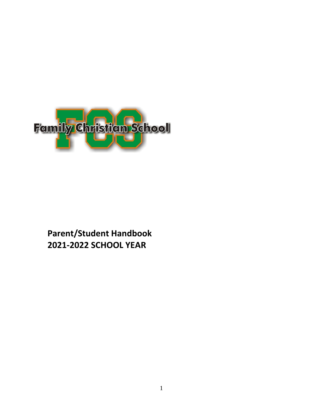

# **Parent/Student Handbook 2021-2022 SCHOOL YEAR**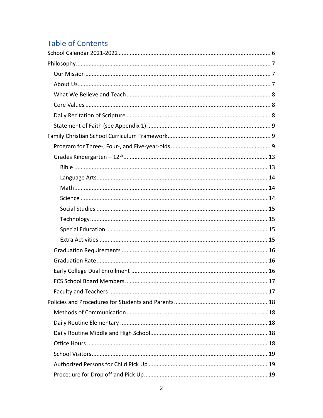# **Table of Contents**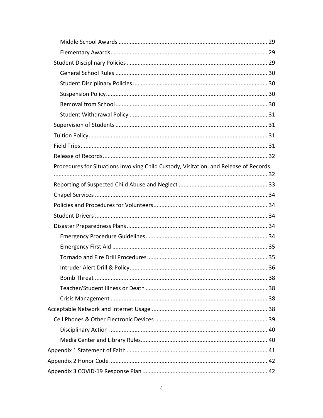| Procedures for Situations Involving Child Custody, Visitation, and Release of Records |  |
|---------------------------------------------------------------------------------------|--|
|                                                                                       |  |
|                                                                                       |  |
|                                                                                       |  |
|                                                                                       |  |
|                                                                                       |  |
|                                                                                       |  |
|                                                                                       |  |
|                                                                                       |  |
|                                                                                       |  |
|                                                                                       |  |
|                                                                                       |  |
|                                                                                       |  |
|                                                                                       |  |
|                                                                                       |  |
|                                                                                       |  |
|                                                                                       |  |
|                                                                                       |  |
|                                                                                       |  |
|                                                                                       |  |
|                                                                                       |  |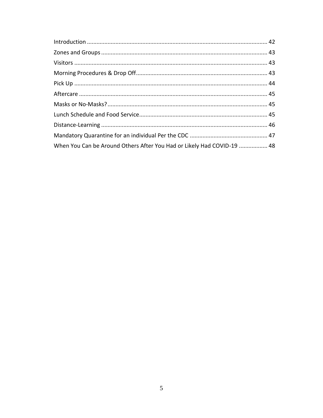| When You Can be Around Others After You Had or Likely Had COVID-19  48 |  |
|------------------------------------------------------------------------|--|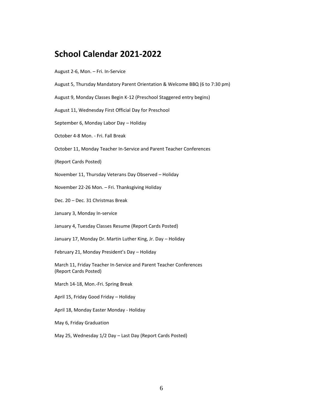# <span id="page-5-0"></span>**School Calendar 2021-2022**

#### August 2-6, Mon. – Fri. In-Service

- August 5, Thursday Mandatory Parent Orientation & Welcome BBQ (6 to 7:30 pm)
- August 9, Monday Classes Begin K-12 (Preschool Staggered entry begins)
- August 11, Wednesday First Official Day for Preschool
- September 6, Monday Labor Day Holiday
- October 4-8 Mon. Fri. Fall Break
- October 11, Monday Teacher In-Service and Parent Teacher Conferences
- (Report Cards Posted)
- November 11, Thursday Veterans Day Observed Holiday
- November 22-26 Mon. Fri. Thanksgiving Holiday
- Dec. 20 Dec. 31 Christmas Break
- January 3, Monday In-service
- January 4, Tuesday Classes Resume (Report Cards Posted)
- January 17, Monday Dr. Martin Luther King, Jr. Day Holiday
- February 21, Monday President's Day Holiday
- March 11, Friday Teacher In-Service and Parent Teacher Conferences (Report Cards Posted)
- March 14-18, Mon.-Fri. Spring Break
- April 15, Friday Good Friday Holiday
- April 18, Monday Easter Monday Holiday
- May 6, Friday Graduation
- May 25, Wednesday 1/2 Day Last Day (Report Cards Posted)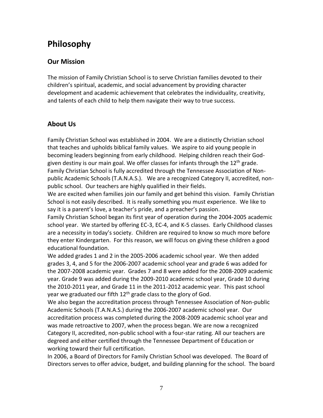# <span id="page-6-0"></span>**Philosophy**

# <span id="page-6-1"></span>**Our Mission**

The mission of Family Christian School is to serve Christian families devoted to their children's spiritual, academic, and social advancement by providing character development and academic achievement that celebrates the individuality, creativity, and talents of each child to help them navigate their way to true success.

# <span id="page-6-2"></span>**About Us**

Family Christian School was established in 2004. We are a distinctly Christian school that teaches and upholds biblical family values. We aspire to aid young people in becoming leaders beginning from early childhood. Helping children reach their Godgiven destiny is our main goal. We offer classes for infants through the 12<sup>th</sup> grade. Family Christian School is fully accredited through the Tennessee Association of Nonpublic Academic Schools (T.A.N.A.S.). We are a recognized Category II, accredited, nonpublic school. Our teachers are highly qualified in their fields.

We are excited when families join our family and get behind this vision. Family Christian School is not easily described. It is really something you must experience. We like to say it is a parent's love, a teacher's pride, and a preacher's passion.

Family Christian School began its first year of operation during the 2004-2005 academic school year. We started by offering EC-3, EC-4, and K-5 classes. Early Childhood classes are a necessity in today's society. Children are required to know so much more before they enter Kindergarten. For this reason, we will focus on giving these children a good educational foundation.

We added grades 1 and 2 in the 2005-2006 academic school year. We then added grades 3, 4, and 5 for the 2006-2007 academic school year and grade 6 was added for the 2007-2008 academic year. Grades 7 and 8 were added for the 2008-2009 academic year. Grade 9 was added during the 2009-2010 academic school year, Grade 10 during the 2010-2011 year, and Grade 11 in the 2011-2012 academic year. This past school year we graduated our fifth  $12<sup>th</sup>$  grade class to the glory of God.

We also began the accreditation process through Tennessee Association of Non-public Academic Schools (T.A.N.A.S.) during the 2006-2007 academic school year. Our accreditation process was completed during the 2008-2009 academic school year and was made retroactive to 2007, when the process began. We are now a recognized Category II, accredited, non-public school with a four-star rating. All our teachers are degreed and either certified through the Tennessee Department of Education or working toward their full certification.

In 2006, a Board of Directors for Family Christian School was developed. The Board of Directors serves to offer advice, budget, and building planning for the school. The board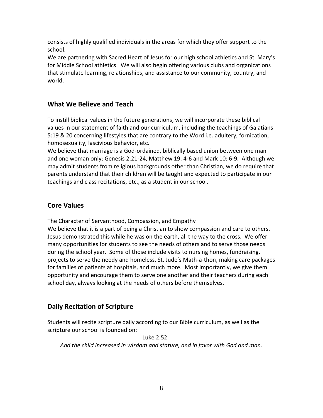consists of highly qualified individuals in the areas for which they offer support to the school.

We are partnering with Sacred Heart of Jesus for our high school athletics and St. Mary's for Middle School athletics. We will also begin offering various clubs and organizations that stimulate learning, relationships, and assistance to our community, country, and world.

# <span id="page-7-0"></span>**What We Believe and Teach**

To instill biblical values in the future generations, we will incorporate these biblical values in our statement of faith and our curriculum, including the teachings of Galatians 5:19 & 20 concerning lifestyles that are contrary to the Word i.e. adultery, fornication, homosexuality, lascivious behavior, etc.

We believe that marriage is a God-ordained, biblically based union between one man and one woman only: Genesis 2:21-24, Matthew 19: 4-6 and Mark 10: 6-9. Although we may admit students from religious backgrounds other than Christian, we do require that parents understand that their children will be taught and expected to participate in our teachings and class recitations, etc., as a student in our school.

# <span id="page-7-1"></span>**Core Values**

The Character of Servanthood, Compassion, and Empathy

We believe that it is a part of being a Christian to show compassion and care to others. Jesus demonstrated this while he was on the earth, all the way to the cross. We offer many opportunities for students to see the needs of others and to serve those needs during the school year. Some of those include visits to nursing homes, fundraising, projects to serve the needy and homeless, St. Jude's Math-a-thon, making care packages for families of patients at hospitals, and much more. Most importantly, we give them opportunity and encourage them to serve one another and their teachers during each school day, always looking at the needs of others before themselves.

# <span id="page-7-2"></span>**Daily Recitation of Scripture**

Students will recite scripture daily according to our Bible curriculum, as well as the scripture our school is founded on:

Luke 2:52

*And the child increased in wisdom and stature, and in favor with God and man.*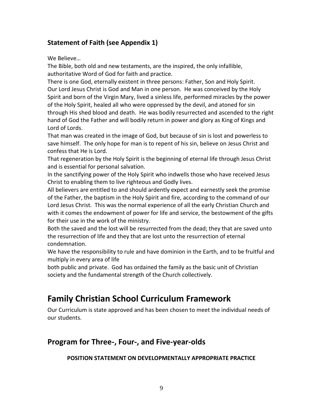# <span id="page-8-0"></span>**Statement of Faith (see Appendix 1)**

We Believe…

The Bible, both old and new testaments, are the inspired, the only infallible, authoritative Word of God for faith and practice.

There is one God, eternally existent in three persons: Father, Son and Holy Spirit. Our Lord Jesus Christ is God and Man in one person. He was conceived by the Holy Spirit and born of the Virgin Mary, lived a sinless life, performed miracles by the power of the Holy Spirit, healed all who were oppressed by the devil, and atoned for sin through His shed blood and death. He was bodily resurrected and ascended to the right hand of God the Father and will bodily return in power and glory as King of Kings and Lord of Lords.

That man was created in the image of God, but because of sin is lost and powerless to save himself. The only hope for man is to repent of his sin, believe on Jesus Christ and confess that He is Lord.

That regeneration by the Holy Spirit is the beginning of eternal life through Jesus Christ and is essential for personal salvation.

In the sanctifying power of the Holy Spirit who indwells those who have received Jesus Christ to enabling them to live righteous and Godly lives.

All believers are entitled to and should ardently expect and earnestly seek the promise of the Father, the baptism in the Holy Spirit and fire, according to the command of our Lord Jesus Christ. This was the normal experience of all the early Christian Church and with it comes the endowment of power for life and service, the bestowment of the gifts for their use in the work of the ministry.

Both the saved and the lost will be resurrected from the dead; they that are saved unto the resurrection of life and they that are lost unto the resurrection of eternal condemnation.

We have the responsibility to rule and have dominion in the Earth, and to be fruitful and multiply in every area of life

both public and private. God has ordained the family as the basic unit of Christian society and the fundamental strength of the Church collectively.

# <span id="page-8-1"></span>**Family Christian School Curriculum Framework**

Our Curriculum is state approved and has been chosen to meet the individual needs of our students.

# <span id="page-8-2"></span>**Program for Three-, Four-, and Five-year-olds**

# **POSITION STATEMENT ON DEVELOPMENTALLY APPROPRIATE PRACTICE**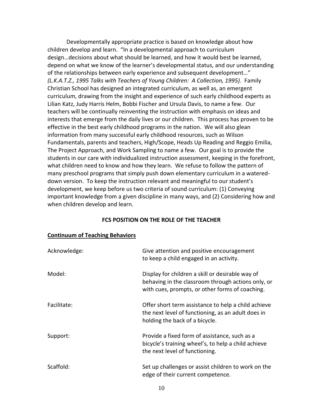Developmentally appropriate practice is based on knowledge about how children develop and learn. "In a developmental approach to curriculum design…decisions about what should be learned, and how it would best be learned, depend on what we know of the learner's developmental status, and our understanding of the relationships between early experience and subsequent development…" *(L.K.A.T.Z., 1995 Talks with Teachers of Young Children: A Collection, 1995).* Family Christian School has designed an integrated curriculum, as well as, an emergent curriculum, drawing from the insight and experience of such early childhood experts as Lilian Katz, Judy Harris Helm, Bobbi Fischer and Ursula Davis, to name a few. Our teachers will be continually reinventing the instruction with emphasis on ideas and interests that emerge from the daily lives or our children. This process has proven to be effective in the best early childhood programs in the nation. We will also glean information from many successful early childhood resources, such as Wilson Fundamentals, parents and teachers, High/Scope, Heads Up Reading and Reggio Emilia, The Project Approach, and Work Sampling to name a few. Our goal is to provide the students in our care with individualized instruction assessment, keeping in the forefront, what children need to know and how they learn. We refuse to follow the pattern of many preschool programs that simply push down elementary curriculum in a watereddown version. To keep the instruction relevant and meaningful to our student's development, we keep before us two criteria of sound curriculum: (1) Conveying important knowledge from a given discipline in many ways, and (2) Considering how and when children develop and learn.

#### **FCS POSITION ON THE ROLE OF THE TEACHER**

| Acknowledge: | Give attention and positive encouragement<br>to keep a child engaged in an activity.                                                                      |
|--------------|-----------------------------------------------------------------------------------------------------------------------------------------------------------|
| Model:       | Display for children a skill or desirable way of<br>behaving in the classroom through actions only, or<br>with cues, prompts, or other forms of coaching. |
| Facilitate:  | Offer short term assistance to help a child achieve<br>the next level of functioning, as an adult does in<br>holding the back of a bicycle.               |
| Support:     | Provide a fixed form of assistance, such as a<br>bicycle's training wheel's, to help a child achieve<br>the next level of functioning.                    |
| Scaffold:    | Set up challenges or assist children to work on the<br>edge of their current competence.                                                                  |

#### **Continuum of Teaching Behaviors**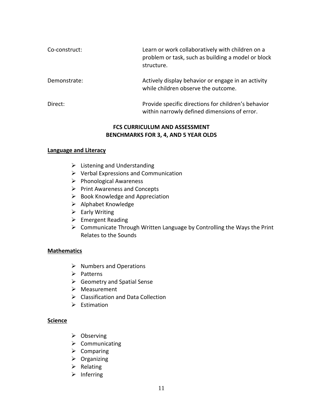| Co-construct: | Learn or work collaboratively with children on a<br>problem or task, such as building a model or block<br>structure. |
|---------------|----------------------------------------------------------------------------------------------------------------------|
| Demonstrate:  | Actively display behavior or engage in an activity<br>while children observe the outcome.                            |
| Direct:       | Provide specific directions for children's behavior<br>within narrowly defined dimensions of error.                  |

### **FCS CURRICULUM AND ASSESSMENT BENCHMARKS FOR 3, 4, AND 5 YEAR OLDS**

#### **Language and Literacy**

- $\triangleright$  Listening and Understanding
- ➢ Verbal Expressions and Communication
- ➢ Phonological Awareness
- ➢ Print Awareness and Concepts
- $\triangleright$  Book Knowledge and Appreciation
- ➢ Alphabet Knowledge
- $\triangleright$  Early Writing
- ➢ Emergent Reading
- ➢ Communicate Through Written Language by Controlling the Ways the Print Relates to the Sounds

#### **Mathematics**

- $\triangleright$  Numbers and Operations
- ➢ Patterns
- ➢ Geometry and Spatial Sense
- ➢ Measurement
- ➢ Classification and Data Collection
- ➢ Estimation

#### **Science**

- ➢ Observing
- ➢ Communicating
- ➢ Comparing
- ➢ Organizing
- ➢ Relating
- ➢ Inferring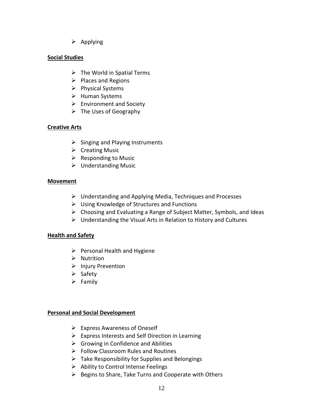➢ Applying

# **Social Studies**

- $\triangleright$  The World in Spatial Terms
- $\triangleright$  Places and Regions
- ➢ Physical Systems
- ➢ Human Systems
- $\triangleright$  Environment and Society
- $\triangleright$  The Uses of Geography

# **Creative Arts**

- $\triangleright$  Singing and Playing Instruments
- ➢ Creating Music
- $\triangleright$  Responding to Music
- ➢ Understanding Music

# **Movement**

- $\triangleright$  Understanding and Applying Media, Techniques and Processes
- ➢ Using Knowledge of Structures and Functions
- ➢ Choosing and Evaluating a Range of Subject Matter, Symbols, and Ideas
- $\triangleright$  Understanding the Visual Arts in Relation to History and Cultures

# **Health and Safety**

- $\triangleright$  Personal Health and Hygiene
- ➢ Nutrition
- ➢ Injury Prevention
- ➢ Safety
- $\triangleright$  Family

# **Personal and Social Development**

- ➢ Express Awareness of Oneself
- $\triangleright$  Express Interests and Self Direction in Learning
- $\triangleright$  Growing in Confidence and Abilities
- ➢ Follow Classroom Rules and Routines
- $\triangleright$  Take Responsibility for Supplies and Belongings
- ➢ Ability to Control Intense Feelings
- ➢ Begins to Share, Take Turns and Cooperate with Others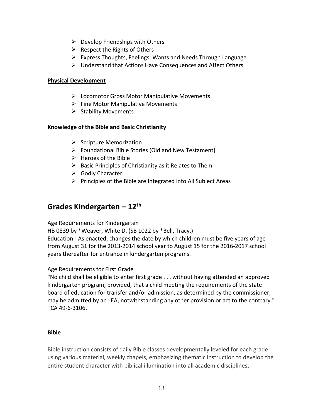- $\triangleright$  Develop Friendships with Others
- $\triangleright$  Respect the Rights of Others
- ➢ Express Thoughts, Feelings, Wants and Needs Through Language
- ➢ Understand that Actions Have Consequences and Affect Others

### **Physical Development**

- ➢ Locomotor Gross Motor Manipulative Movements
- $\triangleright$  Fine Motor Manipulative Movements
- $\triangleright$  Stability Movements

### **Knowledge of the Bible and Basic Christianity**

- $\triangleright$  Scripture Memorization
- ➢ Foundational Bible Stories (Old and New Testament)
- ➢ Heroes of the Bible
- $\triangleright$  Basic Principles of Christianity as it Relates to Them
- ➢ Godly Character
- $\triangleright$  Principles of the Bible are Integrated into All Subject Areas

# <span id="page-12-0"></span>**Grades Kindergarten – 12th**

Age Requirements for Kindergarten

HB 0839 by \*Weaver, White D. (SB 1022 by \*Bell, Tracy.)

Education - As enacted, changes the date by which children must be five years of age from August 31 for the 2013-2014 school year to August 15 for the 2016-2017 school years thereafter for entrance in kindergarten programs.

# Age Requirements for First Grade

"No child shall be eligible to enter first grade . . . without having attended an approved kindergarten program; provided, that a child meeting the requirements of the state board of education for transfer and/or admission, as determined by the commissioner, may be admitted by an LEA, notwithstanding any other provision or act to the contrary." TCA 49-6-3106.

### <span id="page-12-1"></span>**Bible**

Bible instruction consists of daily Bible classes developmentally leveled for each grade using various material, weekly chapels, emphasizing thematic instruction to develop the entire student character with biblical illumination into all academic disciplines.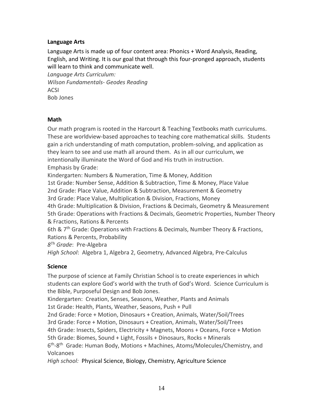# <span id="page-13-0"></span>**Language Arts**

Language Arts is made up of four content area: Phonics + Word Analysis, Reading, English, and Writing. It is our goal that through this four-pronged approach, students will learn to think and communicate well.

*Language Arts Curriculum: Wilson Fundamentals- Geodes Reading* ACSI Bob Jones

### <span id="page-13-1"></span>**Math**

Our math program is rooted in the Harcourt & Teaching Textbooks math curriculums. These are worldview-based approaches to teaching core mathematical skills. Students gain a rich understanding of math computation, problem-solving, and application as they learn to see and use math all around them. As in all our curriculum, we intentionally illuminate the Word of God and His truth in instruction. Emphasis by Grade:

Kindergarten: Numbers & Numeration, Time & Money, Addition

1st Grade: Number Sense, Addition & Subtraction, Time & Money, Place Value

2nd Grade: Place Value, Addition & Subtraction, Measurement & Geometry

3rd Grade: Place Value, Multiplication & Division, Fractions, Money

4th Grade: Multiplication & Division, Fractions & Decimals, Geometry & Measurement 5th Grade: Operations with Fractions & Decimals, Geometric Properties, Number Theory & Fractions, Rations & Percents

6th & 7<sup>th</sup> Grade: Operations with Fractions & Decimals, Number Theory & Fractions, Rations & Percents, Probability

*8 Th Grade*: Pre-Algebra

*High School*: Algebra 1, Algebra 2, Geometry, Advanced Algebra, Pre-Calculus

# <span id="page-13-2"></span>**Science**

The purpose of science at Family Christian School is to create experiences in which students can explore God's world with the truth of God's Word. Science Curriculum is the Bible, Purposeful Design and Bob Jones.

Kindergarten: Creation, Senses, Seasons, Weather, Plants and Animals

1st Grade: Health, Plants, Weather, Seasons, Push + Pull

2nd Grade: Force + Motion, Dinosaurs + Creation, Animals, Water/Soil/Trees

3rd Grade: Force + Motion, Dinosaurs + Creation, Animals, Water/Soil/Trees

4th Grade: Insects, Spiders, Electricity + Magnets, Moons + Oceans, Force + Motion

5th Grade: Biomes, Sound + Light, Fossils + Dinosaurs, Rocks + Minerals

6<sup>th</sup>-8<sup>th</sup> Grade: Human Body, Motions + Machines, Atoms/Molecules/Chemistry, and Volcanoes

*High school:* Physical Science, Biology, Chemistry, Agriculture Science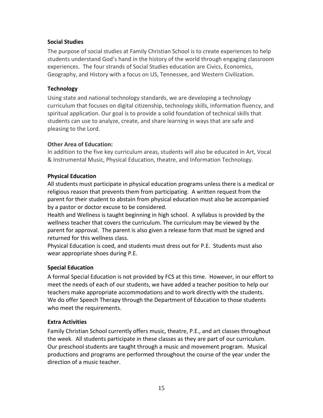# <span id="page-14-0"></span>**Social Studies**

The purpose of social studies at Family Christian School is to create experiences to help students understand God's hand in the history of the world through engaging classroom experiences. The four strands of Social Studies education are Civics, Economics, Geography, and History with a focus on US, Tennessee, and Western Civilization.

### <span id="page-14-1"></span>**Technology**

Using state and national technology standards, we are developing a technology curriculum that focuses on digital citizenship, technology skills, information fluency, and spiritual application. Our goal is to provide a solid foundation of technical skills that students can use to analyze, create, and share learning in ways that are safe and pleasing to the Lord.

### **Other Area of Education:**

In addition to the five key curriculum areas, students will also be educated in Art, Vocal & Instrumental Music, Physical Education, theatre, and Information Technology.

### **Physical Education**

All students must participate in physical education programs unless there is a medical or religious reason that prevents them from participating. A written request from the parent for their student to abstain from physical education must also be accompanied by a pastor or doctor excuse to be considered.

Health and Wellness is taught beginning in high school. A syllabus is provided by the wellness teacher that covers the curriculum. The curriculum may be viewed by the parent for approval. The parent is also given a release form that must be signed and returned for this wellness class.

Physical Education is coed, and students must dress out for P.E. Students must also wear appropriate shoes during P.E.

# <span id="page-14-2"></span>**Special Education**

A formal Special Education is not provided by FCS at this time. However, in our effort to meet the needs of each of our students, we have added a teacher position to help our teachers make appropriate accommodations and to work directly with the students. We do offer Speech Therapy through the Department of Education to those students who meet the requirements.

# <span id="page-14-3"></span>**Extra Activities**

Family Christian School currently offers music, theatre, P.E., and art classes throughout the week. All students participate in these classes as they are part of our curriculum. Our preschool students are taught through a music and movement program. Musical productions and programs are performed throughout the course of the year under the direction of a music teacher.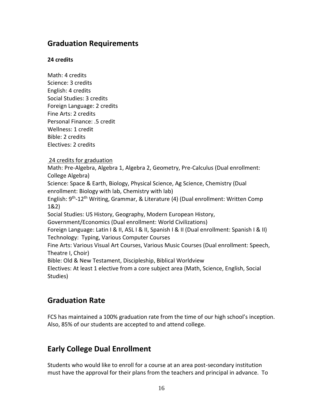# <span id="page-15-0"></span>**Graduation Requirements**

# **24 credits**

Math: 4 credits Science: 3 credits English: 4 credits Social Studies: 3 credits Foreign Language: 2 credits Fine Arts: 2 credits Personal Finance: .5 credit Wellness: 1 credit Bible: 2 credits Electives: 2 credits 24 credits for graduation Math: Pre-Algebra, Algebra 1, Algebra 2, Geometry, Pre-Calculus (Dual enrollment: College Algebra) Science: Space & Earth, Biology, Physical Science, Ag Science, Chemistry (Dual enrollment: Biology with lab, Chemistry with lab) English: 9<sup>th</sup>-12<sup>th</sup> Writing, Grammar, & Literature (4) (Dual enrollment: Written Comp 1&2) Social Studies: US History, Geography, Modern European History, Government/Economics (Dual enrollment: World Civilizations)

Foreign Language: Latin I & II, ASL I & II, Spanish I & II (Dual enrollment: Spanish I & II) Technology: Typing, Various Computer Courses

Fine Arts: Various Visual Art Courses, Various Music Courses (Dual enrollment: Speech, Theatre I, Choir)

Bible: Old & New Testament, Discipleship, Biblical Worldview

Electives: At least 1 elective from a core subject area (Math, Science, English, Social Studies)

# <span id="page-15-1"></span>**Graduation Rate**

FCS has maintained a 100% graduation rate from the time of our high school's inception. Also, 85% of our students are accepted to and attend college.

# <span id="page-15-2"></span>**Early College Dual Enrollment**

Students who would like to enroll for a course at an area post-secondary institution must have the approval for their plans from the teachers and principal in advance. To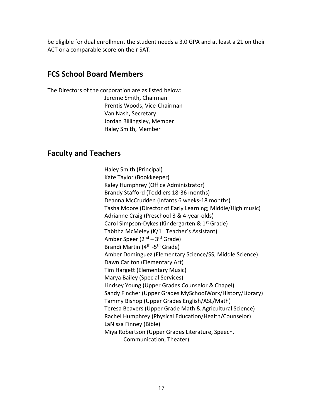be eligible for dual enrollment the student needs a 3.0 GPA and at least a 21 on their ACT or a comparable score on their SAT.

# <span id="page-16-0"></span>**FCS School Board Members**

The Directors of the corporation are as listed below: Jereme Smith, Chairman Prentis Woods, Vice-Chairman Van Nash, Secretary Jordan Billingsley, Member Haley Smith, Member

# <span id="page-16-1"></span>**Faculty and Teachers**

Haley Smith (Principal) Kate Taylor (Bookkeeper) Kaley Humphrey (Office Administrator) Brandy Stafford (Toddlers 18-36 months) Deanna McCrudden (Infants 6 weeks-18 months) Tasha Moore (Director of Early Learning; Middle/High music) Adrianne Craig (Preschool 3 & 4-year-olds) Carol Simpson-Dykes (Kindergarten & 1<sup>st</sup> Grade) Tabitha McMeley (K/1<sup>st</sup> Teacher's Assistant) Amber Speer (2<sup>nd</sup> – 3<sup>rd</sup> Grade) Brandi Martin (4<sup>th</sup> -5<sup>th</sup> Grade) Amber Dominguez (Elementary Science/SS; Middle Science) Dawn Carlton (Elementary Art) Tim Hargett (Elementary Music) Marya Bailey (Special Services) Lindsey Young (Upper Grades Counselor & Chapel) Sandy Fincher (Upper Grades MySchoolWorx/History/Library) Tammy Bishop (Upper Grades English/ASL/Math) Teresa Beavers (Upper Grade Math & Agricultural Science) Rachel Humphrey (Physical Education/Health/Counselor) LaNissa Finney (Bible) Miya Robertson (Upper Grades Literature, Speech, Communication, Theater)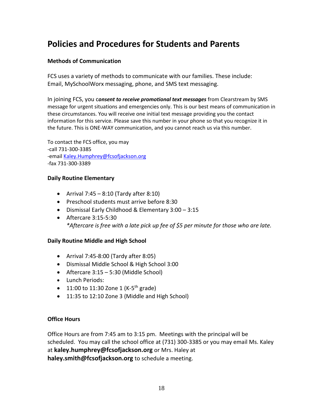# <span id="page-17-0"></span>**Policies and Procedures for Students and Parents**

# <span id="page-17-1"></span>**Methods of Communication**

FCS uses a variety of methods to communicate with our families. These include: Email, MySchoolWorx messaging, phone, and SMS text messaging.

In joining FCS, you c*onsent to receive promotional text messages* from Clearstream by SMS message for urgent situations and emergencies only. This is our best means of communication in these circumstances. You will receive one initial text message providing you the contact information for this service. Please save this number in your phone so that you recognize it in the future. This is ONE-WAY communication, and you cannot reach us via this number.

To contact the FCS office, you may -call 731-300-3385 -emai[l Kaley.Humphrey@fcsofjackson.org](mailto:Kaley.Humphrey@fcsofjackson.org) -fax 731-300-3389

### <span id="page-17-2"></span>**Daily Routine Elementary**

- Arrival  $7:45 8:10$  (Tardy after  $8:10$ )
- Preschool students must arrive before 8:30
- Dismissal Early Childhood & Elementary 3:00 3:15
- Aftercare 3:15-5:30 *\*Aftercare is free with a late pick up fee of \$5 per minute for those who are late.*

# <span id="page-17-3"></span>**Daily Routine Middle and High School**

- Arrival 7:45-8:00 (Tardy after 8:05)
- Dismissal Middle School & High School 3:00
- Aftercare 3:15 5:30 (Middle School)
- Lunch Periods:
- $\bullet$  11:00 to 11:30 Zone 1 (K-5<sup>th</sup> grade)
- 11:35 to 12:10 Zone 3 (Middle and High School)

### <span id="page-17-4"></span>**Office Hours**

Office Hours are from 7:45 am to 3:15 pm. Meetings with the principal will be scheduled. You may call the school office at (731) 300-3385 or you may email Ms. Kaley at **[kaley.humphrey@fcsofjackson.org](mailto:kaley.humphrey@fcsofjackson.org)** or Mrs. Haley at **[haley.smith@fcsofjackson.org](mailto:haley.smith@fcsofjackson.org)** to schedule a meeting.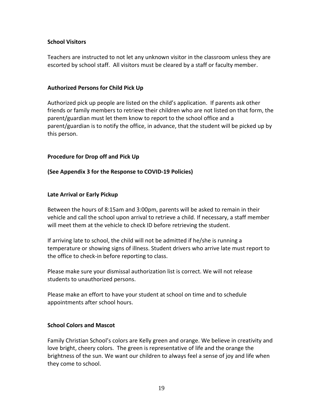### <span id="page-18-0"></span>**School Visitors**

Teachers are instructed to not let any unknown visitor in the classroom unless they are escorted by school staff. All visitors must be cleared by a staff or faculty member.

### <span id="page-18-1"></span>**Authorized Persons for Child Pick Up**

Authorized pick up people are listed on the child's application. If parents ask other friends or family members to retrieve their children who are not listed on that form, the parent/guardian must let them know to report to the school office and a parent/guardian is to notify the office, in advance, that the student will be picked up by this person.

### <span id="page-18-2"></span>**Procedure for Drop off and Pick Up**

### **(See Appendix 3 for the Response to COVID-19 Policies)**

### <span id="page-18-3"></span>**Late Arrival or Early Pickup**

Between the hours of 8:15am and 3:00pm, parents will be asked to remain in their vehicle and call the school upon arrival to retrieve a child. If necessary, a staff member will meet them at the vehicle to check ID before retrieving the student.

If arriving late to school, the child will not be admitted if he/she is running a temperature or showing signs of illness. Student drivers who arrive late must report to the office to check-in before reporting to class.

Please make sure your dismissal authorization list is correct. We will not release students to unauthorized persons.

Please make an effort to have your student at school on time and to schedule appointments after school hours.

### <span id="page-18-4"></span>**School Colors and Mascot**

Family Christian School's colors are Kelly green and orange. We believe in creativity and love bright, cheery colors. The green is representative of life and the orange the brightness of the sun. We want our children to always feel a sense of joy and life when they come to school.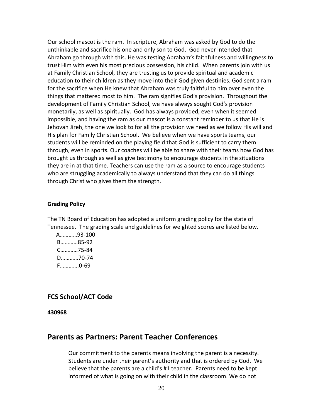Our school mascot is the ram. In scripture, Abraham was asked by God to do the unthinkable and sacrifice his one and only son to God. God never intended that Abraham go through with this. He was testing Abraham's faithfulness and willingness to trust Him with even his most precious possession, his child. When parents join with us at Family Christian School, they are trusting us to provide spiritual and academic education to their children as they move into their God given destinies. God sent a ram for the sacrifice when He knew that Abraham was truly faithful to him over even the things that mattered most to him. The ram signifies God's provision. Throughout the development of Family Christian School, we have always sought God's provision monetarily, as well as spiritually. God has always provided, even when it seemed impossible, and having the ram as our mascot is a constant reminder to us that He is Jehovah Jireh, the one we look to for all the provision we need as we follow His will and His plan for Family Christian School. We believe when we have sports teams, our students will be reminded on the playing field that God is sufficient to carry them through, even in sports. Our coaches will be able to share with their teams how God has brought us through as well as give testimony to encourage students in the situations they are in at that time. Teachers can use the ram as a source to encourage students who are struggling academically to always understand that they can do all things through Christ who gives them the strength.

#### <span id="page-19-0"></span>**Grading Policy**

The TN Board of Education has adopted a uniform grading policy for the state of Tennessee. The grading scale and guidelines for weighted scores are listed below.

 A…………93-100 B…………85-92 C…………75-84 D…………70-74 F………….0-69

### <span id="page-19-1"></span>**FCS School/ACT Code**

**430968**

# <span id="page-19-2"></span>**Parents as Partners: Parent Teacher Conferences**

Our commitment to the parents means involving the parent is a necessity. Students are under their parent's authority and that is ordered by God. We believe that the parents are a child's #1 teacher. Parents need to be kept informed of what is going on with their child in the classroom. We do not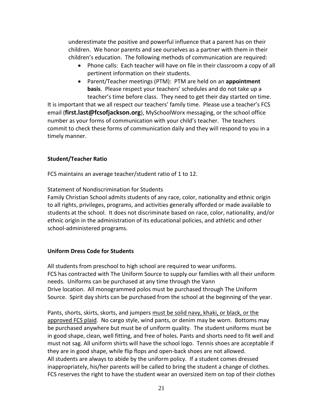underestimate the positive and powerful influence that a parent has on their children. We honor parents and see ourselves as a partner with them in their children's education. The following methods of communication are required:

- Phone calls: Each teacher will have on file in their classroom a copy of all pertinent information on their students.
- Parent/Teacher meetings (PTM): PTM are held on an **appointment basis**. Please respect your teachers' schedules and do not take up a teacher's time before class. They need to get their day started on time.

It is important that we all respect our teachers' family time. Please use a teacher's FCS email (**[first.last@fcsofjackson.org](mailto:first.last@fcsofjackson.org)**), MySchoolWorx messaging, or the school office number as your forms of communication with your child's teacher. The teachers commit to check these forms of communication daily and they will respond to you in a timely manner.

# <span id="page-20-0"></span>**Student/Teacher Ratio**

FCS maintains an average teacher/student ratio of 1 to 12.

Statement of Nondiscrimination for Students

Family Christian School admits students of any race, color, nationality and ethnic origin to all rights, privileges, programs, and activities generally afforded or made available to students at the school. It does not discriminate based on race, color, nationality, and/or ethnic origin in the administration of its educational policies, and athletic and other school-administered programs.

# <span id="page-20-1"></span>**Uniform Dress Code for Students**

All students from preschool to high school are required to wear uniforms. FCS has contracted with The Uniform Source to supply our families with all their uniform needs. Uniforms can be purchased at any time through the Vann Drive location. All monogrammed polos must be purchased through The Uniform Source. Spirit day shirts can be purchased from the school at the beginning of the year.

Pants, shorts, skirts, skorts, and jumpers must be solid navy, khaki, or black, or the approved FCS plaid. No cargo style, wind pants, or denim may be worn. Bottoms may be purchased anywhere but must be of uniform quality. The student uniforms must be in good shape, clean, well fitting, and free of holes. Pants and shorts need to fit well and must not sag. All uniform shirts will have the school logo. Tennis shoes are acceptable if they are in good shape, while flip flops and open-back shoes are not allowed. All students are always to abide by the uniform policy. If a student comes dressed inappropriately, his/her parents will be called to bring the student a change of clothes. FCS reserves the right to have the student wear an oversized item on top of their clothes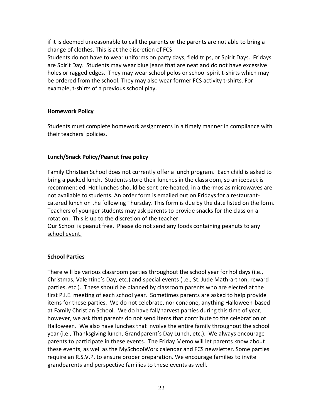if it is deemed unreasonable to call the parents or the parents are not able to bring a change of clothes. This is at the discretion of FCS.

Students do not have to wear uniforms on party days, field trips, or Spirit Days. Fridays are Spirit Day. Students may wear blue jeans that are neat and do not have excessive holes or ragged edges. They may wear school polos or school spirit t-shirts which may be ordered from the school. They may also wear former FCS activity t-shirts. For example, t-shirts of a previous school play.

### <span id="page-21-0"></span>**Homework Policy**

Students must complete homework assignments in a timely manner in compliance with their teachers' policies.

### <span id="page-21-1"></span>**Lunch/Snack Policy/Peanut free policy**

Family Christian School does not currently offer a lunch program. Each child is asked to bring a packed lunch. Students store their lunches in the classroom, so an icepack is recommended. Hot lunches should be sent pre-heated, in a thermos as microwaves are not available to students. An order form is emailed out on Fridays for a restaurantcatered lunch on the following Thursday. This form is due by the date listed on the form. Teachers of younger students may ask parents to provide snacks for the class on a rotation. This is up to the discretion of the teacher.

Our School is peanut free. Please do not send any foods containing peanuts to any school event.

### <span id="page-21-2"></span>**School Parties**

There will be various classroom parties throughout the school year for holidays (i.e., Christmas, Valentine's Day, etc.) and special events (i.e., St. Jude Math-a-thon, reward parties, etc.). These should be planned by classroom parents who are elected at the first P.I.E. meeting of each school year. Sometimes parents are asked to help provide items for these parties. We do not celebrate, nor condone, anything Halloween-based at Family Christian School. We do have fall/harvest parties during this time of year, however, we ask that parents do not send items that contribute to the celebration of Halloween. We also have lunches that involve the entire family throughout the school year (i.e., Thanksgiving lunch, Grandparent's Day Lunch, etc.). We always encourage parents to participate in these events. The Friday Memo will let parents know about these events, as well as the MySchoolWorx calendar and FCS newsletter. Some parties require an R.S.V.P. to ensure proper preparation. We encourage families to invite grandparents and perspective families to these events as well.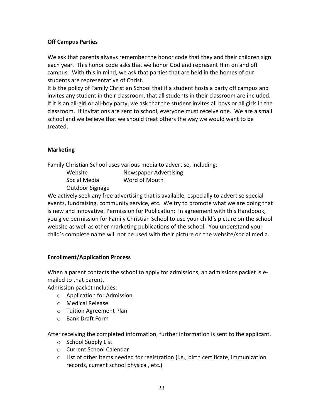# <span id="page-22-0"></span>**Off Campus Parties**

We ask that parents always remember the honor code that they and their children sign each year. This honor code asks that we honor God and represent Him on and off campus. With this in mind, we ask that parties that are held in the homes of our students are representative of Christ.

It is the policy of Family Christian School that if a student hosts a party off campus and invites any student in their classroom, that all students in their classroom are included. If it is an all-girl or all-boy party, we ask that the student invites all boys or all girls in the classroom. If invitations are sent to school, everyone must receive one. We are a small school and we believe that we should treat others the way we would want to be treated.

# <span id="page-22-1"></span>**Marketing**

Family Christian School uses various media to advertise, including:

| Website         | <b>Newspaper Advertising</b> |
|-----------------|------------------------------|
| Social Media    | Word of Mouth                |
| Outdoor Signage |                              |

We actively seek any free advertising that is available, especially to advertise special events, fundraising, community service, etc. We try to promote what we are doing that is new and innovative. Permission for Publication: In agreement with this Handbook, you give permission for Family Christian School to use your child's picture on the school website as well as other marketing publications of the school. You understand your child's complete name will not be used with their picture on the website/social media.

# <span id="page-22-2"></span>**Enrollment/Application Process**

When a parent contacts the school to apply for admissions, an admissions packet is emailed to that parent.

Admission packet Includes:

- o Application for Admission
- o Medical Release
- o Tuition Agreement Plan
- o Bank Draft Form

After receiving the completed information, further information is sent to the applicant.

- o School Supply List
- o Current School Calendar
- $\circ$  List of other items needed for registration (i.e., birth certificate, immunization records, current school physical, etc.)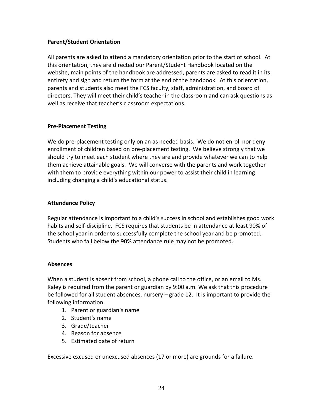### <span id="page-23-0"></span>**Parent/Student Orientation**

All parents are asked to attend a mandatory orientation prior to the start of school. At this orientation, they are directed our Parent/Student Handbook located on the website, main points of the handbook are addressed, parents are asked to read it in its entirety and sign and return the form at the end of the handbook. At this orientation, parents and students also meet the FCS faculty, staff, administration, and board of directors. They will meet their child's teacher in the classroom and can ask questions as well as receive that teacher's classroom expectations.

### <span id="page-23-1"></span>**Pre-Placement Testing**

We do pre-placement testing only on an as needed basis. We do not enroll nor deny enrollment of children based on pre-placement testing. We believe strongly that we should try to meet each student where they are and provide whatever we can to help them achieve attainable goals. We will converse with the parents and work together with them to provide everything within our power to assist their child in learning including changing a child's educational status.

### <span id="page-23-2"></span>**Attendance Policy**

Regular attendance is important to a child's success in school and establishes good work habits and self-discipline. FCS requires that students be in attendance at least 90% of the school year in order to successfully complete the school year and be promoted. Students who fall below the 90% attendance rule may not be promoted.

### <span id="page-23-3"></span>**Absences**

When a student is absent from school, a phone call to the office, or an email to Ms. Kaley is required from the parent or guardian by 9:00 a.m. We ask that this procedure be followed for all student absences, nursery – grade 12. It is important to provide the following information.

- 1. Parent or guardian's name
- 2. Student's name
- 3. Grade/teacher
- 4. Reason for absence
- 5. Estimated date of return

Excessive excused or unexcused absences (17 or more) are grounds for a failure.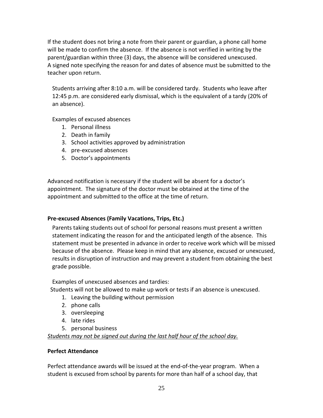If the student does not bring a note from their parent or guardian, a phone call home will be made to confirm the absence. If the absence is not verified in writing by the parent/guardian within three (3) days, the absence will be considered unexcused. A signed note specifying the reason for and dates of absence must be submitted to the teacher upon return.

Students arriving after 8:10 a.m. will be considered tardy. Students who leave after 12:45 p.m. are considered early dismissal, which is the equivalent of a tardy (20% of an absence).

Examples of excused absences

- 1. Personal illness
- 2. Death in family
- 3. School activities approved by administration
- 4. pre-excused absences
- 5. Doctor's appointments

Advanced notification is necessary if the student will be absent for a doctor's appointment. The signature of the doctor must be obtained at the time of the appointment and submitted to the office at the time of return.

# <span id="page-24-0"></span>**Pre-excused Absences (Family Vacations, Trips, Etc.)**

Parents taking students out of school for personal reasons must present a written statement indicating the reason for and the anticipated length of the absence. This statement must be presented in advance in order to receive work which will be missed because of the absence. Please keep in mind that any absence, excused or unexcused, results in disruption of instruction and may prevent a student from obtaining the best grade possible.

Examples of unexcused absences and tardies:

Students will not be allowed to make up work or tests if an absence is unexcused.

- 1. Leaving the building without permission
- 2. phone calls
- 3. oversleeping
- 4. late rides
- 5. personal business

<span id="page-24-1"></span>*Students may not be signed out during the last half hour of the school day.*

# **Perfect Attendance**

Perfect attendance awards will be issued at the end-of-the-year program. When a student is excused from school by parents for more than half of a school day, that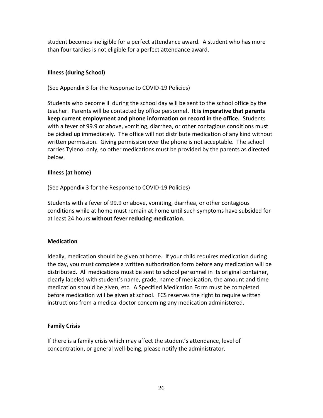student becomes ineligible for a perfect attendance award. A student who has more than four tardies is not eligible for a perfect attendance award.

# <span id="page-25-0"></span>**Illness (during School)**

(See Appendix 3 for the Response to COVID-19 Policies)

Students who become ill during the school day will be sent to the school office by the teacher. Parents will be contacted by office personnel**. It is imperative that parents keep current employment and phone information on record in the office.** Students with a fever of 99.9 or above, vomiting, diarrhea, or other contagious conditions must be picked up immediately. The office will not distribute medication of any kind without written permission. Giving permission over the phone is not acceptable. The school carries Tylenol only, so other medications must be provided by the parents as directed below.

# <span id="page-25-1"></span>**Illness (at home)**

(See Appendix 3 for the Response to COVID-19 Policies)

Students with a fever of 99.9 or above, vomiting, diarrhea, or other contagious conditions while at home must remain at home until such symptoms have subsided for at least 24 hours **without fever reducing medication**.

# <span id="page-25-2"></span>**Medication**

Ideally, medication should be given at home. If your child requires medication during the day, you must complete a written authorization form before any medication will be distributed. All medications must be sent to school personnel in its original container, clearly labeled with student's name, grade, name of medication, the amount and time medication should be given, etc. A Specified Medication Form must be completed before medication will be given at school. FCS reserves the right to require written instructions from a medical doctor concerning any medication administered.

### <span id="page-25-3"></span>**Family Crisis**

If there is a family crisis which may affect the student's attendance, level of concentration, or general well-being, please notify the administrator.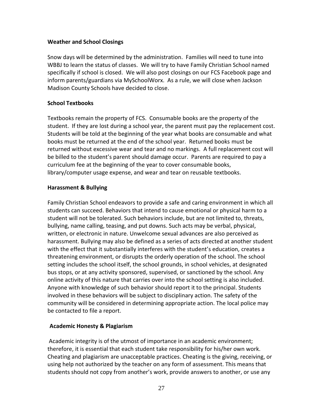### <span id="page-26-0"></span>**Weather and School Closings**

Snow days will be determined by the administration. Families will need to tune into WBBJ to learn the status of classes. We will try to have Family Christian School named specifically if school is closed. We will also post closings on our FCS Facebook page and inform parents/guardians via MySchoolWorx. As a rule, we will close when Jackson Madison County Schools have decided to close.

# <span id="page-26-1"></span>**School Textbooks**

Textbooks remain the property of FCS. Consumable books are the property of the student. If they are lost during a school year, the parent must pay the replacement cost. Students will be told at the beginning of the year what books are consumable and what books must be returned at the end of the school year. Returned books must be returned without excessive wear and tear and no markings. A full replacement cost will be billed to the student's parent should damage occur. Parents are required to pay a curriculum fee at the beginning of the year to cover consumable books, library/computer usage expense, and wear and tear on reusable textbooks.

### <span id="page-26-2"></span>**Harassment & Bullying**

Family Christian School endeavors to provide a safe and caring environment in which all students can succeed. Behaviors that intend to cause emotional or physical harm to a student will not be tolerated. Such behaviors include, but are not limited to, threats, bullying, name calling, teasing, and put downs. Such acts may be verbal, physical, written, or electronic in nature. Unwelcome sexual advances are also perceived as harassment. Bullying may also be defined as a series of acts directed at another student with the effect that it substantially interferes with the student's education, creates a threatening environment, or disrupts the orderly operation of the school. The school setting includes the school itself, the school grounds, in school vehicles, at designated bus stops, or at any activity sponsored, supervised, or sanctioned by the school. Any online activity of this nature that carries over into the school setting is also included. Anyone with knowledge of such behavior should report it to the principal. Students involved in these behaviors will be subject to disciplinary action. The safety of the community will be considered in determining appropriate action. The local police may be contacted to file a report.

### <span id="page-26-3"></span>**Academic Honesty & Plagiarism**

Academic integrity is of the utmost of importance in an academic environment; therefore, it is essential that each student take responsibility for his/her own work. Cheating and plagiarism are unacceptable practices. Cheating is the giving, receiving, or using help not authorized by the teacher on any form of assessment. This means that students should not copy from another's work, provide answers to another, or use any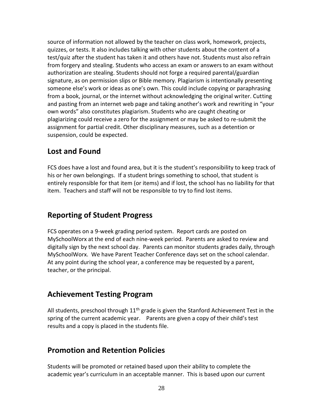source of information not allowed by the teacher on class work, homework, projects, quizzes, or tests. It also includes talking with other students about the content of a test/quiz after the student has taken it and others have not. Students must also refrain from forgery and stealing. Students who access an exam or answers to an exam without authorization are stealing. Students should not forge a required parental/guardian signature, as on permission slips or Bible memory. Plagiarism is intentionally presenting someone else's work or ideas as one's own. This could include copying or paraphrasing from a book, journal, or the internet without acknowledging the original writer. Cutting and pasting from an internet web page and taking another's work and rewriting in "your own words" also constitutes plagiarism. Students who are caught cheating or plagiarizing could receive a zero for the assignment or may be asked to re-submit the assignment for partial credit. Other disciplinary measures, such as a detention or suspension, could be expected.

# <span id="page-27-0"></span>**Lost and Found**

FCS does have a lost and found area, but it is the student's responsibility to keep track of his or her own belongings. If a student brings something to school, that student is entirely responsible for that item (or items) and if lost, the school has no liability for that item. Teachers and staff will not be responsible to try to find lost items.

# <span id="page-27-1"></span>**Reporting of Student Progress**

FCS operates on a 9-week grading period system. Report cards are posted on MySchoolWorx at the end of each nine-week period. Parents are asked to review and digitally sign by the next school day. Parents can monitor students grades daily, through MySchoolWorx. We have Parent Teacher Conference days set on the school calendar. At any point during the school year, a conference may be requested by a parent, teacher, or the principal.

# <span id="page-27-2"></span>**Achievement Testing Program**

All students, preschool through  $11<sup>th</sup>$  grade is given the Stanford Achievement Test in the spring of the current academic year. Parents are given a copy of their child's test results and a copy is placed in the students file.

# <span id="page-27-3"></span>**Promotion and Retention Policies**

Students will be promoted or retained based upon their ability to complete the academic year's curriculum in an acceptable manner. This is based upon our current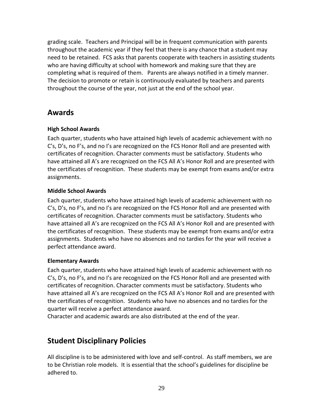grading scale. Teachers and Principal will be in frequent communication with parents throughout the academic year if they feel that there is any chance that a student may need to be retained. FCS asks that parents cooperate with teachers in assisting students who are having difficulty at school with homework and making sure that they are completing what is required of them. Parents are always notified in a timely manner. The decision to promote or retain is continuously evaluated by teachers and parents throughout the course of the year, not just at the end of the school year.

# <span id="page-28-0"></span>**Awards**

# <span id="page-28-1"></span>**High School Awards**

Each quarter, students who have attained high levels of academic achievement with no C's, D's, no F's, and no I's are recognized on the FCS Honor Roll and are presented with certificates of recognition. Character comments must be satisfactory. Students who have attained all A's are recognized on the FCS All A's Honor Roll and are presented with the certificates of recognition. These students may be exempt from exams and/or extra assignments.

### <span id="page-28-2"></span>**Middle School Awards**

Each quarter, students who have attained high levels of academic achievement with no C's, D's, no F's, and no I's are recognized on the FCS Honor Roll and are presented with certificates of recognition. Character comments must be satisfactory. Students who have attained all A's are recognized on the FCS All A's Honor Roll and are presented with the certificates of recognition. These students may be exempt from exams and/or extra assignments. Students who have no absences and no tardies for the year will receive a perfect attendance award.

### <span id="page-28-3"></span>**Elementary Awards**

Each quarter, students who have attained high levels of academic achievement with no C's, D's, no F's, and no I's are recognized on the FCS Honor Roll and are presented with certificates of recognition. Character comments must be satisfactory. Students who have attained all A's are recognized on the FCS All A's Honor Roll and are presented with the certificates of recognition. Students who have no absences and no tardies for the quarter will receive a perfect attendance award.

Character and academic awards are also distributed at the end of the year.

# <span id="page-28-4"></span>**Student Disciplinary Policies**

All discipline is to be administered with love and self-control. As staff members, we are to be Christian role models. It is essential that the school's guidelines for discipline be adhered to.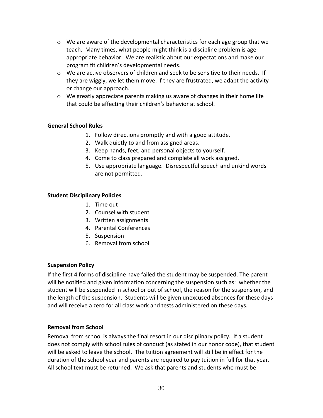- $\circ$  We are aware of the developmental characteristics for each age group that we teach. Many times, what people might think is a discipline problem is ageappropriate behavior. We are realistic about our expectations and make our program fit children's developmental needs.
- $\circ$  We are active observers of children and seek to be sensitive to their needs. If they are wiggly, we let them move. If they are frustrated, we adapt the activity or change our approach.
- $\circ$  We greatly appreciate parents making us aware of changes in their home life that could be affecting their children's behavior at school.

# <span id="page-29-0"></span>**General School Rules**

- 1. Follow directions promptly and with a good attitude.
- 2. Walk quietly to and from assigned areas.
- 3. Keep hands, feet, and personal objects to yourself.
- 4. Come to class prepared and complete all work assigned.
- 5. Use appropriate language. Disrespectful speech and unkind words are not permitted.

# <span id="page-29-1"></span>**Student Disciplinary Policies**

- 1. Time out
- 2. Counsel with student
- 3. Written assignments
- 4. Parental Conferences
- 5. Suspension
- 6. Removal from school

# <span id="page-29-2"></span>**Suspension Policy**

If the first 4 forms of discipline have failed the student may be suspended. The parent will be notified and given information concerning the suspension such as: whether the student will be suspended in school or out of school, the reason for the suspension, and the length of the suspension. Students will be given unexcused absences for these days and will receive a zero for all class work and tests administered on these days.

# <span id="page-29-3"></span>**Removal from School**

Removal from school is always the final resort in our disciplinary policy. If a student does not comply with school rules of conduct (as stated in our honor code), that student will be asked to leave the school. The tuition agreement will still be in effect for the duration of the school year and parents are required to pay tuition in full for that year. All school text must be returned. We ask that parents and students who must be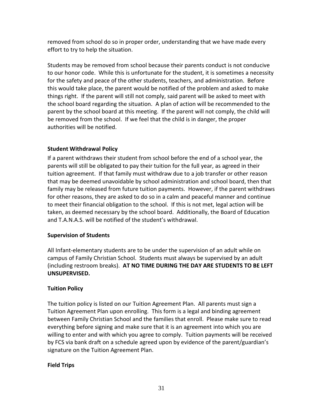removed from school do so in proper order, understanding that we have made every effort to try to help the situation.

Students may be removed from school because their parents conduct is not conducive to our honor code. While this is unfortunate for the student, it is sometimes a necessity for the safety and peace of the other students, teachers, and administration. Before this would take place, the parent would be notified of the problem and asked to make things right. If the parent will still not comply, said parent will be asked to meet with the school board regarding the situation. A plan of action will be recommended to the parent by the school board at this meeting. If the parent will not comply, the child will be removed from the school. If we feel that the child is in danger, the proper authorities will be notified.

# <span id="page-30-0"></span>**Student Withdrawal Policy**

If a parent withdraws their student from school before the end of a school year, the parents will still be obligated to pay their tuition for the full year, as agreed in their tuition agreement. If that family must withdraw due to a job transfer or other reason that may be deemed unavoidable by school administration and school board, then that family may be released from future tuition payments. However, if the parent withdraws for other reasons, they are asked to do so in a calm and peaceful manner and continue to meet their financial obligation to the school. If this is not met, legal action will be taken, as deemed necessary by the school board. Additionally, the Board of Education and T.A.N.A.S. will be notified of the student's withdrawal.

# <span id="page-30-1"></span>**Supervision of Students**

All Infant-elementary students are to be under the supervision of an adult while on campus of Family Christian School. Students must always be supervised by an adult (including restroom breaks). **AT NO TIME DURING THE DAY ARE STUDENTS TO BE LEFT UNSUPERVISED.**

# <span id="page-30-2"></span>**Tuition Policy**

The tuition policy is listed on our Tuition Agreement Plan. All parents must sign a Tuition Agreement Plan upon enrolling. This form is a legal and binding agreement between Family Christian School and the families that enroll. Please make sure to read everything before signing and make sure that it is an agreement into which you are willing to enter and with which you agree to comply. Tuition payments will be received by FCS via bank draft on a schedule agreed upon by evidence of the parent/guardian's signature on the Tuition Agreement Plan.

# <span id="page-30-3"></span>**Field Trips**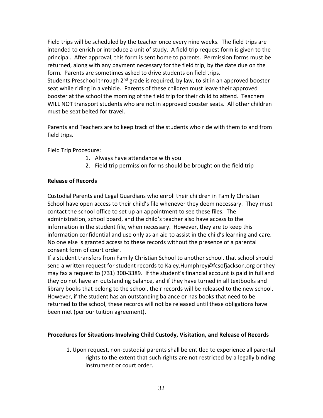Field trips will be scheduled by the teacher once every nine weeks. The field trips are intended to enrich or introduce a unit of study. A field trip request form is given to the principal. After approval, this form is sent home to parents. Permission forms must be returned, along with any payment necessary for the field trip, by the date due on the form. Parents are sometimes asked to drive students on field trips. Students Preschool through 2<sup>nd</sup> grade is required, by law, to sit in an approved booster seat while riding in a vehicle. Parents of these children must leave their approved booster at the school the morning of the field trip for their child to attend. Teachers WILL NOT transport students who are not in approved booster seats. All other children must be seat belted for travel.

Parents and Teachers are to keep track of the students who ride with them to and from field trips.

Field Trip Procedure:

- 1. Always have attendance with you
- 2. Field trip permission forms should be brought on the field trip

### <span id="page-31-0"></span>**Release of Records**

Custodial Parents and Legal Guardians who enroll their children in Family Christian School have open access to their child's file whenever they deem necessary. They must contact the school office to set up an appointment to see these files. The administration, school board, and the child's teacher also have access to the information in the student file, when necessary. However, they are to keep this information confidential and use only as an aid to assist in the child's learning and care. No one else is granted access to these records without the presence of a parental consent form of court order.

If a student transfers from Family Christian School to another school, that school should send a written request for student records to Kaley.Humphrey@fcsofjackson.org or they may fax a request to (731) 300-3389. If the student's financial account is paid in full and they do not have an outstanding balance, and if they have turned in all textbooks and library books that belong to the school, their records will be released to the new school. However, if the student has an outstanding balance or has books that need to be returned to the school, these records will not be released until these obligations have been met (per our tuition agreement).

### <span id="page-31-1"></span>**Procedures for Situations Involving Child Custody, Visitation, and Release of Records**

1. Upon request, non-custodial parents shall be entitled to experience all parental rights to the extent that such rights are not restricted by a legally binding instrument or court order.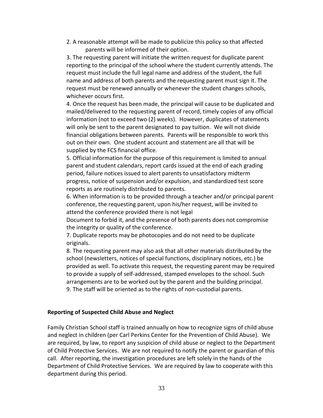2. A reasonable attempt will be made to publicize this policy so that affected parents will be informed of their option.

3. The requesting parent will initiate the written request for duplicate parent reporting to the principal of the school where the student currently attends. The request must include the full legal name and address of the student, the full name and address of both parents and the requesting parent must sign it. The request must be renewed annually or whenever the student changes schools, whichever occurs first.

4. Once the request has been made, the principal will cause to be duplicated and mailed/delivered to the requesting parent of record, timely copies of any official information (not to exceed two (2) weeks). However, duplicates of statements will only be sent to the parent designated to pay tuition. We will not divide financial obligations between parents. Parents will be responsible to work this out on their own. One student account and statement are all that will be supplied by the FCS financial office.

5. Official information for the purpose of this requirement is limited to annual parent and student calendars, report cards issued at the end of each grading period, failure notices issued to alert parents to unsatisfactory midterm progress, notice of suspension and/or expulsion, and standardized test score reports as are routinely distributed to parents.

6. When information is to be provided through a teacher and/or principal parent conference, the requesting parent, upon his/her request, will be invited to attend the conference provided there is not legal

Document to forbid it, and the presence of both parents does not compromise the integrity or quality of the conference.

7. Duplicate reports may be photocopies and do not need to be duplicate originals.

8. The requesting parent may also ask that all other materials distributed by the school (newsletters, notices of special functions, disciplinary notices, etc.) be provided as well. To activate this request, the requesting parent may be required to provide a supply of self-addressed, stamped envelopes to the school. Such arrangements are to be worked out by the parent and the building principal. 9. The staff will be oriented as to the rights of non-custodial parents.

#### <span id="page-32-0"></span>**Reporting of Suspected Child Abuse and Neglect**

Family Christian School staff is trained annually on how to recognize signs of child abuse and neglect in children (per Carl Perkins Center for the Prevention of Child Abuse). We are required, by law, to report any suspicion of child abuse or neglect to the Department of Child Protective Services. We are not required to notify the parent or guardian of this call. After reporting, the investigation procedures are left solely in the hands of the Department of Child Protective Services. We are required by law to cooperate with this department during this period.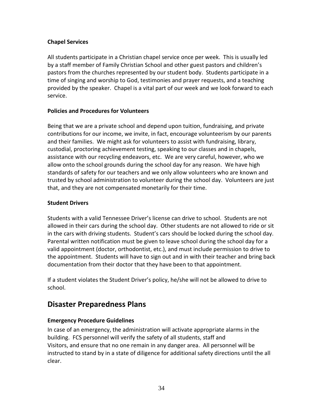# <span id="page-33-0"></span>**Chapel Services**

All students participate in a Christian chapel service once per week. This is usually led by a staff member of Family Christian School and other guest pastors and children's pastors from the churches represented by our student body. Students participate in a time of singing and worship to God, testimonies and prayer requests, and a teaching provided by the speaker. Chapel is a vital part of our week and we look forward to each service.

# <span id="page-33-1"></span>**Policies and Procedures for Volunteers**

Being that we are a private school and depend upon tuition, fundraising, and private contributions for our income, we invite, in fact, encourage volunteerism by our parents and their families. We might ask for volunteers to assist with fundraising, library, custodial, proctoring achievement testing, speaking to our classes and in chapels, assistance with our recycling endeavors, etc. We are very careful, however, who we allow onto the school grounds during the school day for any reason. We have high standards of safety for our teachers and we only allow volunteers who are known and trusted by school administration to volunteer during the school day. Volunteers are just that, and they are not compensated monetarily for their time.

# <span id="page-33-2"></span>**Student Drivers**

Students with a valid Tennessee Driver's license can drive to school. Students are not allowed in their cars during the school day. Other students are not allowed to ride or sit in the cars with driving students. Student's cars should be locked during the school day. Parental written notification must be given to leave school during the school day for a valid appointment (doctor, orthodontist, etc.), and must include permission to drive to the appointment. Students will have to sign out and in with their teacher and bring back documentation from their doctor that they have been to that appointment.

If a student violates the Student Driver's policy, he/she will not be allowed to drive to school.

# <span id="page-33-3"></span>**Disaster Preparedness Plans**

# <span id="page-33-4"></span>**Emergency Procedure Guidelines**

In case of an emergency, the administration will activate appropriate alarms in the building. FCS personnel will verify the safety of all students, staff and Visitors, and ensure that no one remain in any danger area. All personnel will be instructed to stand by in a state of diligence for additional safety directions until the all clear.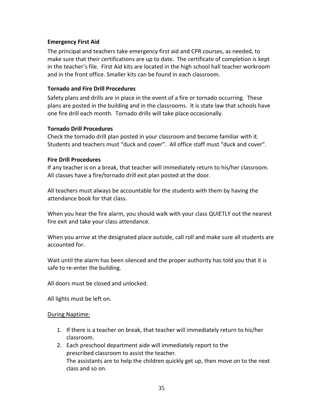### <span id="page-34-0"></span>**Emergency First Aid**

The principal and teachers take emergency first aid and CPR courses, as needed, to make sure that their certifications are up to date. The certificate of completion is kept in the teacher's file. First Aid kits are located in the high school hall teacher workroom and in the front office. Smaller kits can be found in each classroom.

### <span id="page-34-1"></span>**Tornado and Fire Drill Procedures**

Safety plans and drills are in place in the event of a fire or tornado occurring. These plans are posted in the building and in the classrooms. It is state law that schools have one fire drill each month. Tornado drills will take place occasionally.

### **Tornado Drill Procedures**

Check the tornado drill plan posted in your classroom and become familiar with it. Students and teachers must "duck and cover". All office staff must "duck and cover".

### **Fire Drill Procedures**

If any teacher is on a break, that teacher will immediately return to his/her classroom. All classes have a fire/tornado drill exit plan posted at the door.

All teachers must always be accountable for the students with them by having the attendance book for that class.

When you hear the fire alarm, you should walk with your class QUIETLY out the nearest fire exit and take your class attendance.

When you arrive at the designated place outside, call roll and make sure all students are accounted for.

Wait until the alarm has been silenced and the proper authority has told you that it is safe to re-enter the building.

All doors must be closed and unlocked.

All lights must be left on.

### During Naptime:

- 1. If there is a teacher on break, that teacher will immediately return to his/her classroom.
- 2. Each preschool department aide will immediately report to the prescribed classroom to assist the teacher. The assistants are to help the children quickly get up, then move on to the next class and so on.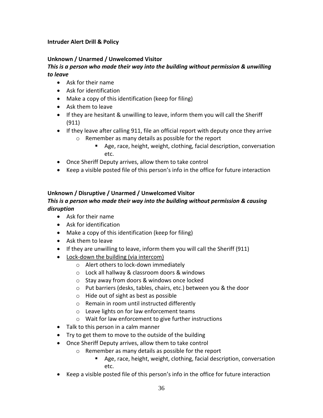# <span id="page-35-0"></span>**Intruder Alert Drill & Policy**

### **Unknown / Unarmed / Unwelcomed Visitor**

### *This is a person who made their way into the building without permission & unwilling to leave*

- Ask for their name
- Ask for identification
- Make a copy of this identification (keep for filing)
- Ask them to leave
- If they are hesitant & unwilling to leave, inform them you will call the Sheriff (911)
- If they leave after calling 911, file an official report with deputy once they arrive o Remember as many details as possible for the report
	- Age, race, height, weight, clothing, facial description, conversation etc.
- Once Sheriff Deputy arrives, allow them to take control
- Keep a visible posted file of this person's info in the office for future interaction

# **Unknown / Disruptive / Unarmed / Unwelcomed Visitor**

# *This is a person who made their way into the building without permission & causing disruption*

- Ask for their name
- Ask for identification
- Make a copy of this identification (keep for filing)
- Ask them to leave
- If they are unwilling to leave, inform them you will call the Sheriff (911)
- Lock-down the building (via intercom)
	- o Alert others to lock-down immediately
	- o Lock all hallway & classroom doors & windows
	- o Stay away from doors & windows once locked
	- o Put barriers (desks, tables, chairs, etc.) between you & the door
	- o Hide out of sight as best as possible
	- o Remain in room until instructed differently
	- o Leave lights on for law enforcement teams
	- o Wait for law enforcement to give further instructions
- Talk to this person in a calm manner
- Try to get them to move to the outside of the building
- Once Sheriff Deputy arrives, allow them to take control
	- o Remember as many details as possible for the report
		- Age, race, height, weight, clothing, facial description, conversation etc.
- Keep a visible posted file of this person's info in the office for future interaction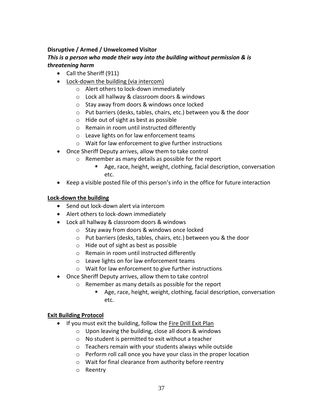# **Disruptive / Armed / Unwelcomed Visitor**

# *This is a person who made their way into the building without permission & is threatening harm*

- Call the Sheriff (911)
- Lock-down the building (via intercom)
	- o Alert others to lock-down immediately
	- o Lock all hallway & classroom doors & windows
	- o Stay away from doors & windows once locked
	- o Put barriers (desks, tables, chairs, etc.) between you & the door
	- o Hide out of sight as best as possible
	- o Remain in room until instructed differently
	- o Leave lights on for law enforcement teams
	- o Wait for law enforcement to give further instructions
- Once Sheriff Deputy arrives, allow them to take control
	- o Remember as many details as possible for the report
		- Age, race, height, weight, clothing, facial description, conversation etc.
- Keep a visible posted file of this person's info in the office for future interaction

# **Lock-down the building**

- Send out lock-down alert via intercom
- Alert others to lock-down immediately
- Lock all hallway & classroom doors & windows
	- o Stay away from doors & windows once locked
	- o Put barriers (desks, tables, chairs, etc.) between you & the door
	- o Hide out of sight as best as possible
	- o Remain in room until instructed differently
	- o Leave lights on for law enforcement teams
	- o Wait for law enforcement to give further instructions
- Once Sheriff Deputy arrives, allow them to take control
	- o Remember as many details as possible for the report
		- Age, race, height, weight, clothing, facial description, conversation etc.

# **Exit Building Protocol**

- If you must exit the building, follow the Fire Drill Exit Plan
	- o Upon leaving the building, close all doors & windows
	- o No student is permitted to exit without a teacher
	- o Teachers remain with your students always while outside
	- o Perform roll call once you have your class in the proper location
	- o Wait for final clearance from authority before reentry
	- o Reentry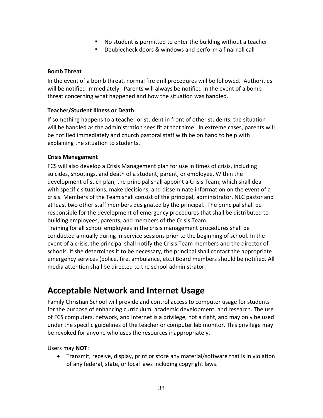- No student is permitted to enter the building without a teacher
- Doublecheck doors & windows and perform a final roll call

# <span id="page-37-0"></span>**Bomb Threat**

In the event of a bomb threat, normal fire drill procedures will be followed. Authorities will be notified immediately. Parents will always be notified in the event of a bomb threat concerning what happened and how the situation was handled.

# <span id="page-37-1"></span>**Teacher/Student Illness or Death**

If something happens to a teacher or student in front of other students, the situation will be handled as the administration sees fit at that time. In extreme cases, parents will be notified immediately and church pastoral staff with be on hand to help with explaining the situation to students.

# <span id="page-37-2"></span>**Crisis Management**

FCS will also develop a Crisis Management plan for use in times of crisis, including suicides, shootings, and death of a student, parent, or employee. Within the development of such plan, the principal shall appoint a Crisis Team, which shall deal with specific situations, make decisions, and disseminate information on the event of a crisis. Members of the Team shall consist of the principal, administrator, NLC pastor and at least two other staff members designated by the principal. The principal shall be responsible for the development of emergency procedures that shall be distributed to building employees, parents, and members of the Crisis Team.

Training for all school employees in the crisis management procedures shall be conducted annually during in-service sessions prior to the beginning of school. In the event of a crisis, the principal shall notify the Crisis Team members and the director of schools. If she determines it to be necessary, the principal shall contact the appropriate emergency services (police, fire, ambulance, etc.) Board members should be notified. All media attention shall be directed to the school administrator.

# <span id="page-37-3"></span>**Acceptable Network and Internet Usage**

Family Christian School will provide and control access to computer usage for students for the purpose of enhancing curriculum, academic development, and research. The use of FCS computers, network, and Internet is a privilege, not a right, and may only be used under the specific guidelines of the teacher or computer lab monitor. This privilege may be revoked for anyone who uses the resources inappropriately.

Users may **NOT**:

• Transmit, receive, display, print or store any material/software that is in violation of any federal, state, or local laws including copyright laws.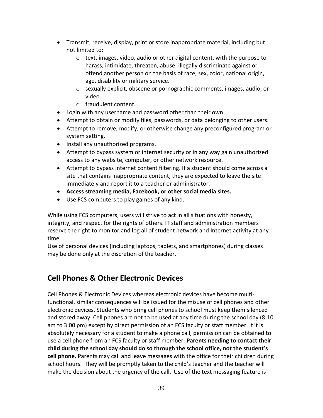- Transmit, receive, display, print or store inappropriate material, including but not limited to:
	- o text, images, video, audio or other digital content, with the purpose to harass, intimidate, threaten, abuse, illegally discriminate against or offend another person on the basis of race, sex, color, national origin, age, disability or military service.
	- o sexually explicit, obscene or pornographic comments, images, audio, or video.
	- o fraudulent content.
- Login with any username and password other than their own.
- Attempt to obtain or modify files, passwords, or data belonging to other users.
- Attempt to remove, modify, or otherwise change any preconfigured program or system setting.
- Install any unauthorized programs.
- Attempt to bypass system or internet security or in any way gain unauthorized access to any website, computer, or other network resource.
- Attempt to bypass internet content filtering. If a student should come across a site that contains inappropriate content, they are expected to leave the site immediately and report it to a teacher or administrator.
- **Access streaming media, Facebook, or other social media sites.**
- Use FCS computers to play games of any kind.

While using FCS computers, users will strive to act in all situations with honesty, integrity, and respect for the rights of others. IT staff and administration members reserve the right to monitor and log all of student network and Internet activity at any time.

Use of personal devices (including laptops, tablets, and smartphones) during classes may be done only at the discretion of the teacher.

# <span id="page-38-0"></span>**Cell Phones & Other Electronic Devices**

Cell Phones & Electronic Devices whereas electronic devices have become multifunctional, similar consequences will be issued for the misuse of cell phones and other electronic devices. Students who bring cell phones to school must keep them silenced and stored away. Cell phones are not to be used at any time during the school day (8:10 am to 3:00 pm) except by direct permission of an FCS faculty or staff member. If it is absolutely necessary for a student to make a phone call, permission can be obtained to use a cell phone from an FCS faculty or staff member. **Parents needing to contact their child during the school day should do so through the school office, not the student's cell phone.** Parents may call and leave messages with the office for their children during school hours. They will be promptly taken to the child's teacher and the teacher will make the decision about the urgency of the call. Use of the text messaging feature is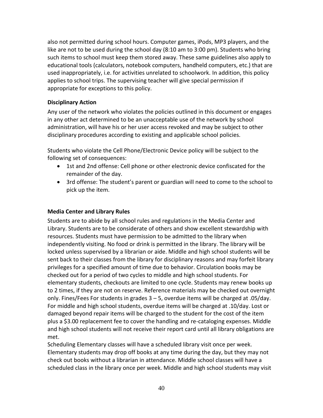also not permitted during school hours. Computer games, iPods, MP3 players, and the like are not to be used during the school day (8:10 am to 3:00 pm). Students who bring such items to school must keep them stored away. These same guidelines also apply to educational tools (calculators, notebook computers, handheld computers, etc.) that are used inappropriately, i.e. for activities unrelated to schoolwork. In addition, this policy applies to school trips. The supervising teacher will give special permission if appropriate for exceptions to this policy.

### <span id="page-39-0"></span>**Disciplinary Action**

Any user of the network who violates the policies outlined in this document or engages in any other act determined to be an unacceptable use of the network by school administration, will have his or her user access revoked and may be subject to other disciplinary procedures according to existing and applicable school policies.

Students who violate the Cell Phone/Electronic Device policy will be subject to the following set of consequences:

- 1st and 2nd offense: Cell phone or other electronic device confiscated for the remainder of the day.
- 3rd offense: The student's parent or guardian will need to come to the school to pick up the item.

# <span id="page-39-1"></span>**Media Center and Library Rules**

Students are to abide by all school rules and regulations in the Media Center and Library. Students are to be considerate of others and show excellent stewardship with resources. Students must have permission to be admitted to the library when independently visiting. No food or drink is permitted in the library. The library will be locked unless supervised by a librarian or aide. Middle and high school students will be sent back to their classes from the library for disciplinary reasons and may forfeit library privileges for a specified amount of time due to behavior. Circulation books may be checked out for a period of two cycles to middle and high school students. For elementary students, checkouts are limited to one cycle. Students may renew books up to 2 times, if they are not on reserve. Reference materials may be checked out overnight only. Fines/Fees For students in grades 3 – 5, overdue items will be charged at .05/day. For middle and high school students, overdue items will be charged at .10/day. Lost or damaged beyond repair items will be charged to the student for the cost of the item plus a \$3.00 replacement fee to cover the handling and re-cataloging expenses. Middle and high school students will not receive their report card until all library obligations are met.

Scheduling Elementary classes will have a scheduled library visit once per week. Elementary students may drop off books at any time during the day, but they may not check out books without a librarian in attendance. Middle school classes will have a scheduled class in the library once per week. Middle and high school students may visit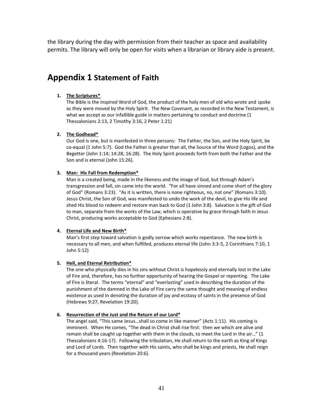the library during the day with permission from their teacher as space and availability permits. The library will only be open for visits when a librarian or library aide is present.

# <span id="page-40-0"></span>**Appendix 1 Statement of Faith**

#### **1. The Scriptures\***

The Bible is the inspired Word of God, the product of the holy men of old who wrote and spoke as they were moved by the Holy Spirit. The New Covenant, as recorded in the New Testament, is what we accept as our infallible guide in matters pertaining to conduct and doctrine (1 Thessalonians 2:13, 2 Timothy 3:16, 2 Peter 1:21)

#### **2. The Godhead\***

Our God is one, but is manifested in three persons: The Father, the Son, and the Holy Spirit, be co-equal (1 John 5:7). God the Father is greater than all, the Source of the Word (Logos), and the Begetter (John 1:14; 14:28; 16:28). The Holy Spirit proceeds forth from both the Father and the Son and is eternal (John 15:26).

#### **3. Man: His Fall from Redemption\***

Man is a created being, made in the likeness and the image of God, but through Adam's transgression and fall, sin came into the world. "For all have sinned and come short of the glory of God" (Romans 3:23). "As it is written, there is none righteous, no, not one" (Romans 3:10). Jesus Christ, the Son of God, was manifested to undo the work of the devil, to give His life and shed His blood to redeem and restore man back to God (1 John 3:8). Salvation is the gift of God to man, separate from the works of the Law, which is operative by grace through faith in Jesus Christ, producing works acceptable to God (Ephesians 2:8).

#### **4. Eternal Life and New Birth\***

Man's first step toward salvation is godly sorrow which works repentance. The new birth is necessary to all men, and when fulfilled, produces eternal life (John 3:3-5, 2 Corinthians 7:10, 1 John 5:12)

#### **5. Hell, and Eternal Retribution\***

The one who physically dies in his sins without Christ is hopelessly and eternally lost in the Lake of Fire and, therefore, has no further opportunity of hearing the Gospel or repenting. The Lake of Fire is literal. The terms "eternal" and "everlasting" used in describing the duration of the punishment of the damned in the Lake of Fire carry the same thought and meaning of endless existence as used in denoting the duration of joy and ecstasy of saints in the presence of God (Hebrews 9:27, Revelation 19:20).

#### **6. Resurrection of the Just and the Return of our Lord\***

The angel said, "This same Jesus…shall so come in like manner" (Acts 1:11). His coming is imminent. When He comes, "The dead in Christ shall rise first: then we which are alive and remain shall be caught up together with them in the clouds, to meet the Lord in the air…" (1 Thessalonians 4:16-17). Following the tribulation, He shall return to the earth as King of Kings and Lord of Lords. Then together with His saints, who shall be kings and priests, He shall reign for a thousand years (Revelation 20:6).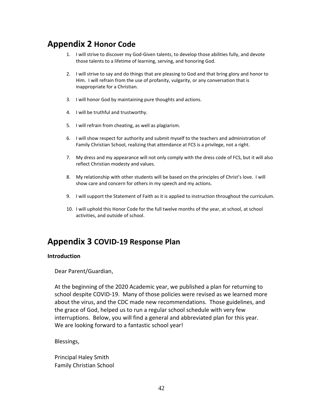# <span id="page-41-0"></span>**Appendix 2 Honor Code**

- 1. I will strive to discover my God-Given talents, to develop those abilities fully, and devote those talents to a lifetime of learning, serving, and honoring God.
- 2. I will strive to say and do things that are pleasing to God and that bring glory and honor to Him. I will refrain from the use of profanity, vulgarity, or any conversation that is inappropriate for a Christian.
- 3. I will honor God by maintaining pure thoughts and actions.
- 4. I will be truthful and trustworthy.
- 5. I will refrain from cheating, as well as plagiarism.
- 6. I will show respect for authority and submit myself to the teachers and administration of Family Christian School, realizing that attendance at FCS is a privilege, not a right.
- 7. My dress and my appearance will not only comply with the dress code of FCS, but it will also reflect Christian modesty and values.
- 8. My relationship with other students will be based on the principles of Christ's love. I will show care and concern for others in my speech and my actions.
- 9. I will support the Statement of Faith as it is applied to instruction throughout the curriculum.
- 10. I will uphold this Honor Code for the full twelve months of the year, at school, at school activities, and outside of school.

# <span id="page-41-1"></span>**Appendix 3 COVID-19 Response Plan**

#### <span id="page-41-2"></span>**Introduction**

Dear Parent/Guardian,

At the beginning of the 2020 Academic year, we published a plan for returning to school despite COVID-19. Many of those policies were revised as we learned more about the virus, and the CDC made new recommendations. Those guidelines, and the grace of God, helped us to run a regular school schedule with very few interruptions. Below, you will find a general and abbreviated plan for this year. We are looking forward to a fantastic school year!

Blessings,

Principal Haley Smith Family Christian School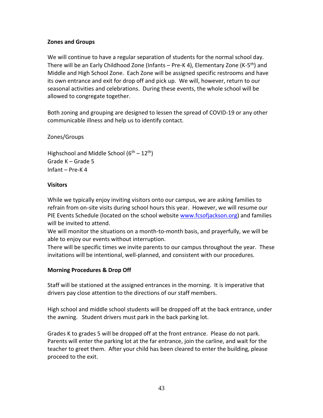### <span id="page-42-0"></span>**Zones and Groups**

We will continue to have a regular separation of students for the normal school day. There will be an Early Childhood Zone (Infants – Pre-K 4), Elementary Zone (K-5<sup>th</sup>) and Middle and High School Zone. Each Zone will be assigned specific restrooms and have its own entrance and exit for drop off and pick up. We will, however, return to our seasonal activities and celebrations. During these events, the whole school will be allowed to congregate together.

Both zoning and grouping are designed to lessen the spread of COVID-19 or any other communicable illness and help us to identify contact.

### Zones/Groups

Highschool and Middle School  $(6^{th} – 12^{th})$ Grade K – Grade 5 Infant – Pre-K 4

### <span id="page-42-1"></span>**Visitors**

While we typically enjoy inviting visitors onto our campus, we are asking families to refrain from on-site visits during school hours this year. However, we will resume our PIE Events Schedule (located on the school website [www.fcsofjackson.org\)](http://www.fcsofjackson.org/) and families will be invited to attend.

We will monitor the situations on a month-to-month basis, and prayerfully, we will be able to enjoy our events without interruption.

There will be specific times we invite parents to our campus throughout the year. These invitations will be intentional, well-planned, and consistent with our procedures.

# <span id="page-42-2"></span>**Morning Procedures & Drop Off**

Staff will be stationed at the assigned entrances in the morning. It is imperative that drivers pay close attention to the directions of our staff members.

High school and middle school students will be dropped off at the back entrance, under the awning. Student drivers must park in the back parking lot.

Grades K to grades 5 will be dropped off at the front entrance. Please do not park. Parents will enter the parking lot at the far entrance, join the carline, and wait for the teacher to greet them. After your child has been cleared to enter the building, please proceed to the exit.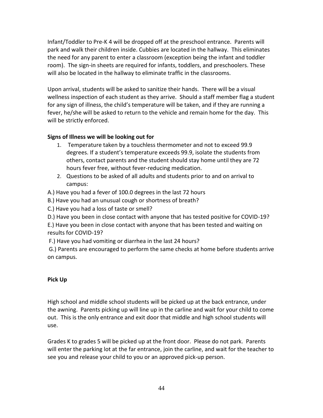Infant/Toddler to Pre-K 4 will be dropped off at the preschool entrance. Parents will park and walk their children inside. Cubbies are located in the hallway. This eliminates the need for any parent to enter a classroom (exception being the infant and toddler room). The sign-in sheets are required for infants, toddlers, and preschoolers. These will also be located in the hallway to eliminate traffic in the classrooms.

Upon arrival, students will be asked to sanitize their hands. There will be a visual wellness inspection of each student as they arrive. Should a staff member flag a student for any sign of illness, the child's temperature will be taken, and if they are running a fever, he/she will be asked to return to the vehicle and remain home for the day. This will be strictly enforced.

# **Signs of Illness we will be looking out for**

- 1. Temperature taken by a touchless thermometer and not to exceed 99.9 degrees. If a student's temperature exceeds 99.9, isolate the students from others, contact parents and the student should stay home until they are 72 hours fever free, without fever-reducing medication.
- 2. Questions to be asked of all adults and students prior to and on arrival to campus:

A.) Have you had a fever of 100.0 degrees in the last 72 hours

B.) Have you had an unusual cough or shortness of breath?

C.) Have you had a loss of taste or smell?

D.) Have you been in close contact with anyone that has tested positive for COVID-19?

E.) Have you been in close contact with anyone that has been tested and waiting on results for COVID-19?

F.) Have you had vomiting or diarrhea in the last 24 hours?

G.) Parents are encouraged to perform the same checks at home before students arrive on campus.

# <span id="page-43-0"></span>**Pick Up**

High school and middle school students will be picked up at the back entrance, under the awning. Parents picking up will line up in the carline and wait for your child to come out. This is the only entrance and exit door that middle and high school students will use.

Grades K to grades 5 will be picked up at the front door. Please do not park. Parents will enter the parking lot at the far entrance, join the carline, and wait for the teacher to see you and release your child to you or an approved pick-up person.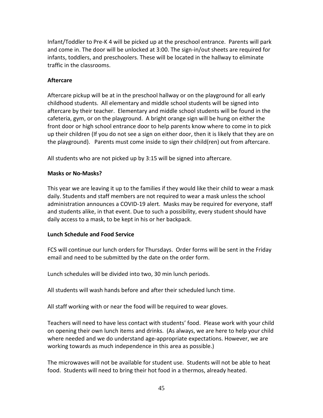Infant/Toddler to Pre-K 4 will be picked up at the preschool entrance. Parents will park and come in. The door will be unlocked at 3:00. The sign-in/out sheets are required for infants, toddlers, and preschoolers. These will be located in the hallway to eliminate traffic in the classrooms.

### <span id="page-44-0"></span>**Aftercare**

Aftercare pickup will be at in the preschool hallway or on the playground for all early childhood students. All elementary and middle school students will be signed into aftercare by their teacher. Elementary and middle school students will be found in the cafeteria, gym, or on the playground. A bright orange sign will be hung on either the front door or high school entrance door to help parents know where to come in to pick up their children (If you do not see a sign on either door, then it is likely that they are on the playground). Parents must come inside to sign their child(ren) out from aftercare.

<span id="page-44-1"></span>All students who are not picked up by 3:15 will be signed into aftercare.

### **Masks or No-Masks?**

This year we are leaving it up to the families if they would like their child to wear a mask daily. Students and staff members are not required to wear a mask unless the school administration announces a COVID-19 alert. Masks may be required for everyone, staff and students alike, in that event. Due to such a possibility, every student should have daily access to a mask, to be kept in his or her backpack.

# <span id="page-44-2"></span>**Lunch Schedule and Food Service**

FCS will continue our lunch orders for Thursdays. Order forms will be sent in the Friday email and need to be submitted by the date on the order form.

Lunch schedules will be divided into two, 30 min lunch periods.

All students will wash hands before and after their scheduled lunch time.

All staff working with or near the food will be required to wear gloves.

Teachers will need to have less contact with students' food. Please work with your child on opening their own lunch items and drinks. (As always, we are here to help your child where needed and we do understand age-appropriate expectations. However, we are working towards as much independence in this area as possible.)

The microwaves will not be available for student use. Students will not be able to heat food. Students will need to bring their hot food in a thermos, already heated.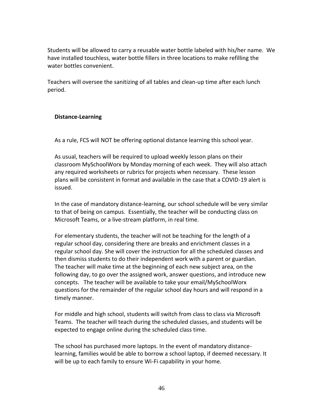Students will be allowed to carry a reusable water bottle labeled with his/her name. We have installed touchless, water bottle fillers in three locations to make refilling the water bottles convenient.

Teachers will oversee the sanitizing of all tables and clean-up time after each lunch period.

### <span id="page-45-0"></span>**Distance-Learning**

As a rule, FCS will NOT be offering optional distance learning this school year.

As usual, teachers will be required to upload weekly lesson plans on their classroom MySchoolWorx by Monday morning of each week. They will also attach any required worksheets or rubrics for projects when necessary. These lesson plans will be consistent in format and available in the case that a COVID-19 alert is issued.

In the case of mandatory distance-learning, our school schedule will be very similar to that of being on campus. Essentially, the teacher will be conducting class on Microsoft Teams, or a live-stream platform, in real time.

For elementary students, the teacher will not be teaching for the length of a regular school day, considering there are breaks and enrichment classes in a regular school day. She will cover the instruction for all the scheduled classes and then dismiss students to do their independent work with a parent or guardian. The teacher will make time at the beginning of each new subject area, on the following day, to go over the assigned work, answer questions, and introduce new concepts. The teacher will be available to take your email/MySchoolWorx questions for the remainder of the regular school day hours and will respond in a timely manner.

For middle and high school, students will switch from class to class via Microsoft Teams. The teacher will teach during the scheduled classes, and students will be expected to engage online during the scheduled class time.

The school has purchased more laptops. In the event of mandatory distancelearning, families would be able to borrow a school laptop, if deemed necessary. It will be up to each family to ensure Wi-Fi capability in your home.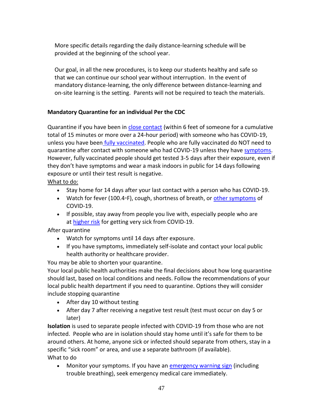More specific details regarding the daily distance-learning schedule will be provided at the beginning of the school year.

Our goal, in all the new procedures, is to keep our students healthy and safe so that we can continue our school year without interruption. In the event of mandatory distance-learning, the only difference between distance-learning and on-site learning is the setting. Parents will not be required to teach the materials.

# <span id="page-46-0"></span>**Mandatory Quarantine for an individual Per the CDC**

Quarantine if you have been in [close contact](https://www.cdc.gov/coronavirus/2019-ncov/php/contact-tracing/contact-tracing-plan/appendix.html#contact) (within 6 feet of someone for a cumulative total of 15 minutes or more over a 24-hour period) with someone who has COVID-19, unless you have been [fully vaccinated.](https://www.cdc.gov/coronavirus/2019-ncov/vaccines/fully-vaccinated.html) People who are fully vaccinated do NOT need to quarantine after contact with someone who had COVID-19 unless they have [symptoms.](https://www.cdc.gov/coronavirus/2019-ncov/symptoms-testing/symptoms.html) However, fully vaccinated people should get tested 3-5 days after their exposure, even if they don't have symptoms and wear a mask indoors in public for 14 days following exposure or until their test result is negative.

# What to do:

- Stay home for 14 days after your last contact with a person who has COVID-19.
- Watch for fever (100.4◦F), cough, shortness of breath, or [other symptoms](https://www.cdc.gov/coronavirus/2019-ncov/symptoms-testing/symptoms.html) of COVID-19.
- If possible, stay away from people you live with, especially people who are at [higher risk](https://www.cdc.gov/coronavirus/2019-ncov/need-extra-precautions/people-at-higher-risk.html) for getting very sick from COVID-19.

# After quarantine

- Watch for symptoms until 14 days after exposure.
- If you have symptoms, immediately self-isolate and contact your local public health authority or healthcare provider.

You may be able to shorten your quarantine.

Your local public health authorities make the final decisions about how long quarantine should last, based on local conditions and needs. Follow the recommendations of your local public health department if you need to quarantine. Options they will consider include stopping quarantine

- After day 10 without testing
- After day 7 after receiving a negative test result (test must occur on day 5 or later)

**Isolation** is used to separate people infected with COVID-19 from those who are not infected. People who are in isolation should stay home until it's safe for them to be around others. At home, anyone sick or infected should separate from others, stay in a specific "sick room" or area, and use a separate bathroom (if available). What to do

• Monitor your symptoms. If you have an [emergency warning sign](https://www.cdc.gov/coronavirus/2019-ncov/symptoms-testing/symptoms.html) (including trouble breathing), seek emergency medical care immediately.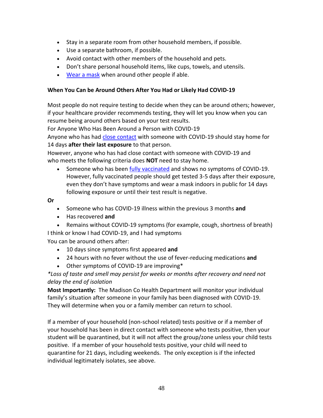- Stay in a separate room from other household members, if possible.
- Use a separate bathroom, if possible.
- Avoid contact with other members of the household and pets.
- Don't share personal household items, like cups, towels, and utensils.
- [Wear a mask](https://www.cdc.gov/coronavirus/2019-ncov/prevent-getting-sick/about-face-coverings.html) when around other people if able.

### <span id="page-47-0"></span>**When You Can be Around Others After You Had or Likely Had COVID-19**

Most people do not require testing to decide when they can be around others; however, if your healthcare provider recommends testing, they will let you know when you can resume being around others based on your test results.

For Anyone Who Has Been Around a Person with COVID-19

Anyone who has had [close contact](https://www.cdc.gov/coronavirus/2019-ncov/php/contact-tracing/contact-tracing-plan/appendix.html#contact) with someone with COVID-19 should stay home for 14 days **after their last exposure** to that person.

However, anyone who has had close contact with someone with COVID-19 and who meets the following criteria does **NOT** need to stay home.

• Someone who has been [fully vaccinated](https://www.cdc.gov/coronavirus/2019-ncov/vaccines/fully-vaccinated.html) and shows no symptoms of COVID-19. However, fully vaccinated people should get tested 3-5 days after their exposure, even they don't have symptoms and wear a mask indoors in public for 14 days following exposure or until their test result is negative.

# **Or**

- Someone who has COVID-19 illness within the previous 3 months **and**
- Has recovered **and**
- Remains without COVID-19 symptoms (for example, cough, shortness of breath) I think or know I had COVID-19, and I had symptoms

You can be around others after:

- 10 days since symptoms first appeared **and**
- 24 hours with no fever without the use of fever-reducing medications **and**
- Other symptoms of COVID-19 are improving\*

*\*Loss of taste and smell may persist for weeks or months after recovery and need not delay the end of isolation*

**Most Importantly:** The Madison Co Health Department will monitor your individual family's situation after someone in your family has been diagnosed with COVID-19. They will determine when you or a family member can return to school.

If a member of your household (non-school related) tests positive or if a member of your household has been in direct contact with someone who tests positive, then your student will be quarantined, but it will not affect the group/zone unless your child tests positive. If a member of your household tests positive, your child will need to quarantine for 21 days, including weekends. The only exception is if the infected individual legitimately isolates, see above.